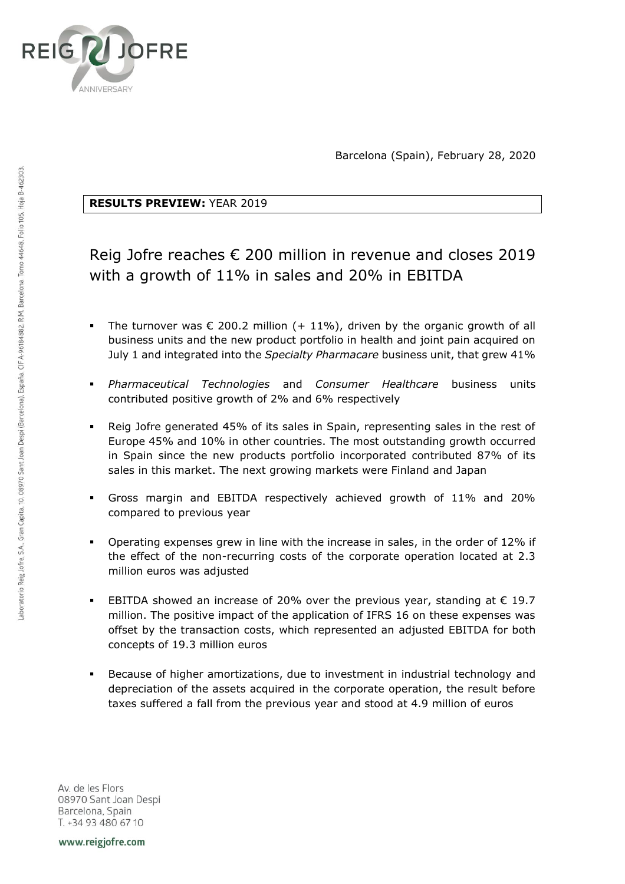

Barcelona (Spain), February 28, 2020

## **RESULTS PREVIEW:** YEAR 2019

# Reig Jofre reaches € 200 million in revenue and closes 2019 with a growth of 11% in sales and 20% in EBITDA

- The turnover was  $\epsilon$  200.2 million (+ 11%), driven by the organic growth of all business units and the new product portfolio in health and joint pain acquired on July 1 and integrated into the *Specialty Pharmacare* business unit, that grew 41%
- *Pharmaceutical Technologies* and *Consumer Healthcare* business units contributed positive growth of 2% and 6% respectively
- Reig Jofre generated 45% of its sales in Spain, representing sales in the rest of Europe 45% and 10% in other countries. The most outstanding growth occurred in Spain since the new products portfolio incorporated contributed 87% of its sales in this market. The next growing markets were Finland and Japan
- Gross margin and EBITDA respectively achieved growth of 11% and 20% compared to previous year
- Operating expenses grew in line with the increase in sales, in the order of 12% if the effect of the non-recurring costs of the corporate operation located at 2.3 million euros was adjusted
- EBITDA showed an increase of 20% over the previous year, standing at  $\epsilon$  19.7 million. The positive impact of the application of IFRS 16 on these expenses was offset by the transaction costs, which represented an adjusted EBITDA for both concepts of 19.3 million euros
- Because of higher amortizations, due to investment in industrial technology and depreciation of the assets acquired in the corporate operation, the result before taxes suffered a fall from the previous year and stood at 4.9 million of euros

Av. de les Flors 08970 Sant Joan Despi Barcelona, Spain T. +34 93 480 67 10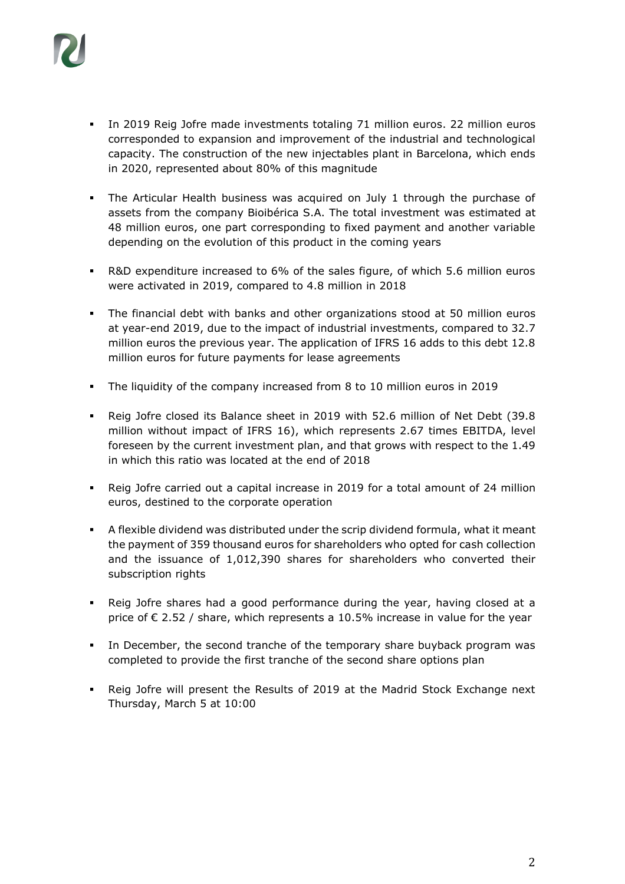

- In 2019 Reig Jofre made investments totaling 71 million euros. 22 million euros corresponded to expansion and improvement of the industrial and technological capacity. The construction of the new injectables plant in Barcelona, which ends in 2020, represented about 80% of this magnitude
- **•** The Articular Health business was acquired on July 1 through the purchase of assets from the company Bioibérica S.A. The total investment was estimated at 48 million euros, one part corresponding to fixed payment and another variable depending on the evolution of this product in the coming years
- R&D expenditure increased to 6% of the sales figure, of which 5.6 million euros were activated in 2019, compared to 4.8 million in 2018
- The financial debt with banks and other organizations stood at 50 million euros at year-end 2019, due to the impact of industrial investments, compared to 32.7 million euros the previous year. The application of IFRS 16 adds to this debt 12.8 million euros for future payments for lease agreements
- The liquidity of the company increased from 8 to 10 million euros in 2019
- Reig Jofre closed its Balance sheet in 2019 with 52.6 million of Net Debt (39.8 million without impact of IFRS 16), which represents 2.67 times EBITDA, level foreseen by the current investment plan, and that grows with respect to the 1.49 in which this ratio was located at the end of 2018
- Reig Jofre carried out a capital increase in 2019 for a total amount of 24 million euros, destined to the corporate operation
- A flexible dividend was distributed under the scrip dividend formula, what it meant the payment of 359 thousand euros for shareholders who opted for cash collection and the issuance of 1,012,390 shares for shareholders who converted their subscription rights
- Reig Jofre shares had a good performance during the year, having closed at a price of  $\epsilon$  2.52 / share, which represents a 10.5% increase in value for the year
- In December, the second tranche of the temporary share buyback program was completed to provide the first tranche of the second share options plan
- Reig Jofre will present the Results of 2019 at the Madrid Stock Exchange next Thursday, March 5 at 10:00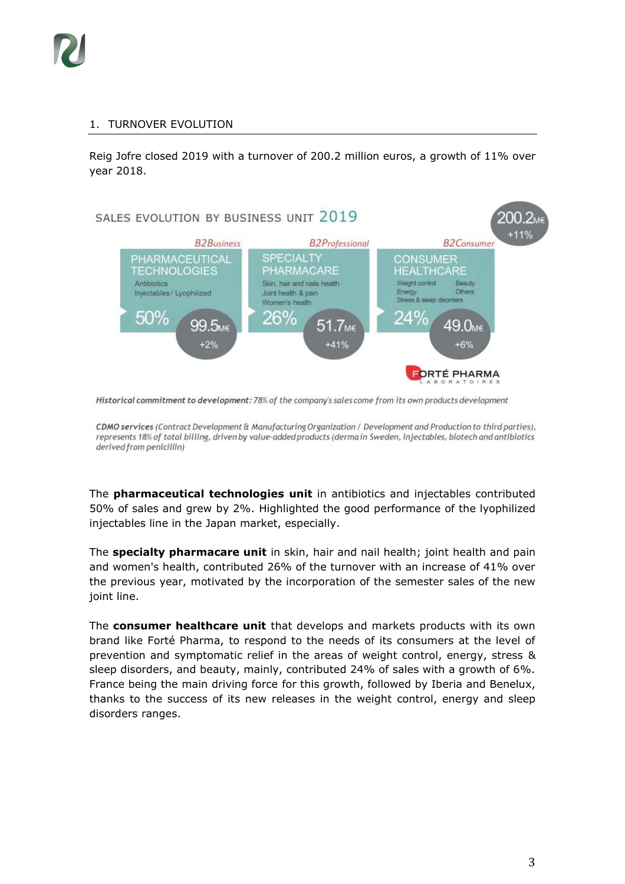

### 1. TURNOVER EVOLUTION

Reig Jofre closed 2019 with a turnover of 200.2 million euros, a growth of 11% over year 2018.



Historical commitment to development: 78% of the company's sales come from its own products development

CDMO services (Contract Development & Manufacturing Organization / Development and Production to third parties), represents 18% of total billing, driven by value-added products (derma in Sweden, injectables, biotech and antibiotics derived from penicillin)

The **pharmaceutical technologies unit** in antibiotics and injectables contributed 50% of sales and grew by 2%. Highlighted the good performance of the lyophilized injectables line in the Japan market, especially.

The **specialty pharmacare unit** in skin, hair and nail health; joint health and pain and women's health, contributed 26% of the turnover with an increase of 41% over the previous year, motivated by the incorporation of the semester sales of the new joint line.

The **consumer healthcare unit** that develops and markets products with its own brand like Forté Pharma, to respond to the needs of its consumers at the level of prevention and symptomatic relief in the areas of weight control, energy, stress & sleep disorders, and beauty, mainly, contributed 24% of sales with a growth of 6%. France being the main driving force for this growth, followed by Iberia and Benelux, thanks to the success of its new releases in the weight control, energy and sleep disorders ranges.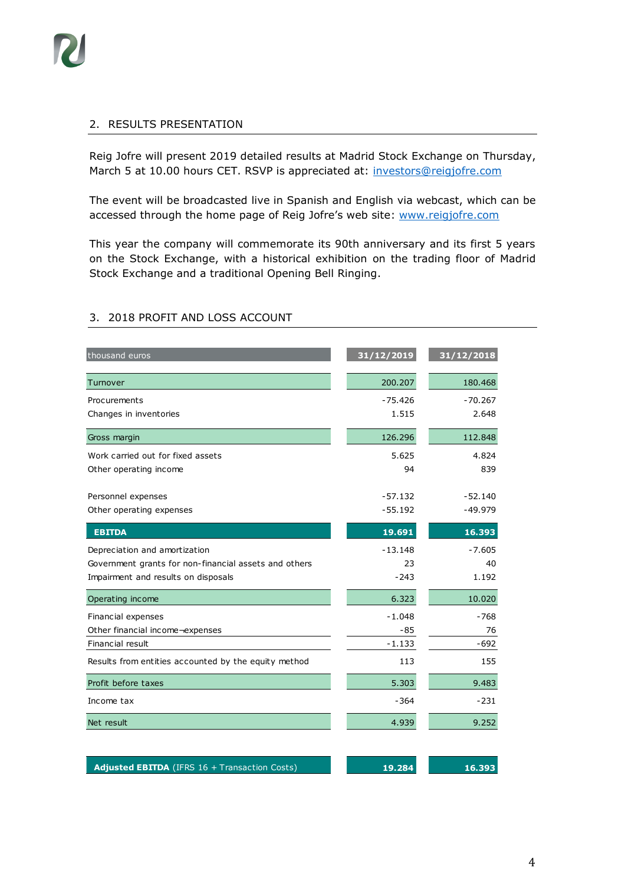#### 2. RESULTS PRESENTATION

Reig Jofre will present 2019 detailed results at Madrid Stock Exchange on Thursday, March 5 at 10.00 hours CET. RSVP is appreciated at: [investors@reigjofre.com](mailto:investors@reigjofre.com)

The event will be broadcasted live in Spanish and English via webcast, which can be accessed through the home page of Reig Jofre's web site: [www.reigjofre.com](http://www.reigjofre.com/)

This year the company will commemorate its 90th anniversary and its first 5 years on the Stock Exchange, with a historical exhibition on the trading floor of Madrid Stock Exchange and a traditional Opening Bell Ringing.

| thousand euros                                        | 31/12/2019 | 31/12/2018 |
|-------------------------------------------------------|------------|------------|
| Turnover                                              | 200.207    | 180.468    |
| Procurements                                          | $-75.426$  | $-70.267$  |
| Changes in inventories                                | 1.515      | 2.648      |
| Gross margin                                          | 126.296    | 112.848    |
| Work carried out for fixed assets                     | 5.625      | 4.824      |
| Other operating income                                | 94         | 839        |
| Personnel expenses                                    | $-57.132$  | $-52.140$  |
| Other operating expenses                              | $-55.192$  | $-49.979$  |
| <b>EBITDA</b>                                         | 19.691     | 16.393     |
| Depreciation and amortization                         | $-13.148$  | $-7.605$   |
| Government grants for non-financial assets and others | 23         | 40         |
| Impairment and results on disposals                   | $-243$     | 1.192      |
| Operating income                                      | 6.323      | 10.020     |
| Financial expenses                                    | $-1.048$   | -768       |
| Other financial income-expenses                       | -85        | 76         |
| Financial result                                      | $-1.133$   | $-692$     |
| Results from entities accounted by the equity method  | 113        | 155        |
| Profit before taxes                                   | 5.303      | 9.483      |
| Income tax                                            | $-364$     | $-231$     |
| Net result                                            | 4.939      | 9.252      |
|                                                       |            |            |
| Adjusted EBITDA (IFRS 16 + Transaction Costs)         | 19.284     | 16.393     |

## 3. 2018 PROFIT AND LOSS ACCOUNT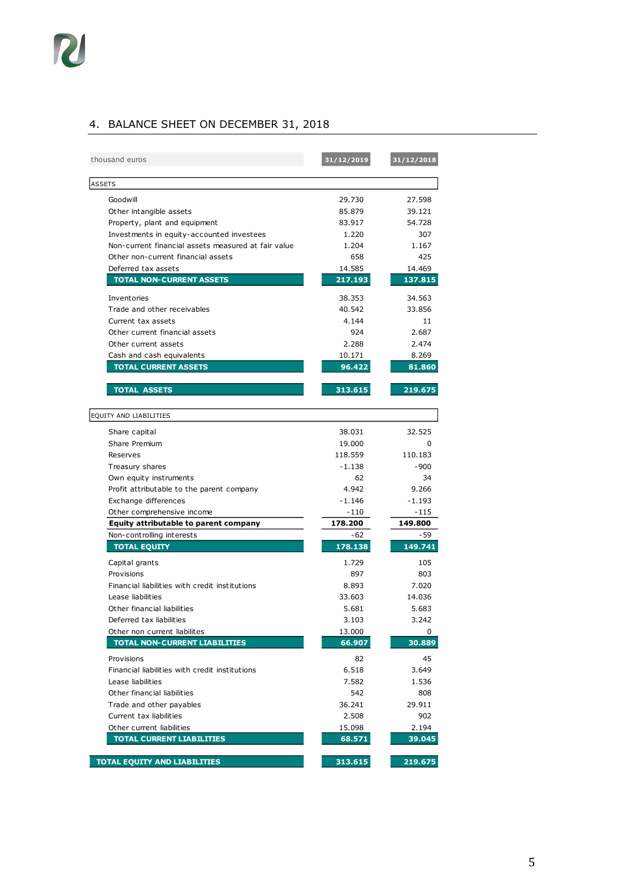## 4. BALANCE SHEET ON DECEMBER 31, 2018

| 29.730<br>27.598<br>Goodwill<br>Other intangible assets<br>85.879<br>39.121<br>Property, plant and equipment<br>83.917<br>54.728<br>Investments in equity-accounted investees<br>1.220<br>307<br>Non-current financial assets measured at fair value<br>1.204<br>1.167<br>Other non-current financial assets<br>658<br>425<br>Deferred tax assets<br>14.585<br>14.469<br><b>TOTAL NON-CURRENT ASSETS</b><br>217.193<br>137.815<br>34.563<br>Inventories<br>38.353<br>Trade and other receivables<br>40.542<br>33.856<br>Current tax assets<br>4.144<br>11<br>Other current financial assets<br>924<br>2.687<br>Other current assets<br>2.288<br>2.474<br>10.171<br>8.269<br>Cash and cash equivalents<br><b>TOTAL CURRENT ASSETS</b><br>96.422<br>81.860<br><b>TOTAL ASSETS</b><br>313.615<br>219.675<br>38.031<br>32.525<br>Share capital<br>Share Premium<br>19.000<br>0<br>118.559<br>110.183<br>Reserves<br>$-1.138$<br>$-900$<br>Treasury shares<br>Own equity instruments<br>62<br>34<br>Profit attributable to the parent company<br>4.942<br>9.266<br>Exchange differences<br>$-1.146$<br>-1.193<br>Other comprehensive income<br>-110<br>$-115$<br>178.200<br>Equity attributable to parent company<br>149.800<br>$-62$<br>- 59<br>Non-controlling interests<br><b>TOTAL EQUITY</b><br>178.138<br>149.741<br>1.729<br>Capital grants<br>105<br>Provisions<br>897<br>803<br>Financial liabilities with credit institutions<br>8.893<br>7.020<br>Lease liabilities<br>33.603<br>14.036<br>Other financial liabilities<br>5.681<br>5.683<br>3.103<br>3.242<br>Deferred tax liabilities<br>Other non current liabilites<br>13.000<br>0<br><b>TOTAL NON-CURRENT LIABILITIES</b><br>66.907<br>30.889<br>45<br>82<br>Provisions<br>Financial liabilities with credit institutions<br>6.518<br>3.649<br>7.582<br>Lease liabilities<br>1.536<br>Other financial liabilities<br>542<br>808<br>Trade and other payables<br>36.241<br>29.911<br>2.508<br>Current tax liabilities<br>902<br>Other current liabilities<br>15.098<br>2.194<br><b>TOTAL CURRENT LIABILITIES</b><br>68.571<br>39.045<br><b>TOTAL EQUITY AND LIABILITIES</b><br>313.615<br>219.675 | thousand euros         | 31/12/2019 | 31/12/2018 |
|-----------------------------------------------------------------------------------------------------------------------------------------------------------------------------------------------------------------------------------------------------------------------------------------------------------------------------------------------------------------------------------------------------------------------------------------------------------------------------------------------------------------------------------------------------------------------------------------------------------------------------------------------------------------------------------------------------------------------------------------------------------------------------------------------------------------------------------------------------------------------------------------------------------------------------------------------------------------------------------------------------------------------------------------------------------------------------------------------------------------------------------------------------------------------------------------------------------------------------------------------------------------------------------------------------------------------------------------------------------------------------------------------------------------------------------------------------------------------------------------------------------------------------------------------------------------------------------------------------------------------------------------------------------------------------------------------------------------------------------------------------------------------------------------------------------------------------------------------------------------------------------------------------------------------------------------------------------------------------------------------------------------------------------------------------------------------------------------------------------------------------------------------------------|------------------------|------------|------------|
|                                                                                                                                                                                                                                                                                                                                                                                                                                                                                                                                                                                                                                                                                                                                                                                                                                                                                                                                                                                                                                                                                                                                                                                                                                                                                                                                                                                                                                                                                                                                                                                                                                                                                                                                                                                                                                                                                                                                                                                                                                                                                                                                                           | <b>ASSETS</b>          |            |            |
|                                                                                                                                                                                                                                                                                                                                                                                                                                                                                                                                                                                                                                                                                                                                                                                                                                                                                                                                                                                                                                                                                                                                                                                                                                                                                                                                                                                                                                                                                                                                                                                                                                                                                                                                                                                                                                                                                                                                                                                                                                                                                                                                                           |                        |            |            |
|                                                                                                                                                                                                                                                                                                                                                                                                                                                                                                                                                                                                                                                                                                                                                                                                                                                                                                                                                                                                                                                                                                                                                                                                                                                                                                                                                                                                                                                                                                                                                                                                                                                                                                                                                                                                                                                                                                                                                                                                                                                                                                                                                           |                        |            |            |
|                                                                                                                                                                                                                                                                                                                                                                                                                                                                                                                                                                                                                                                                                                                                                                                                                                                                                                                                                                                                                                                                                                                                                                                                                                                                                                                                                                                                                                                                                                                                                                                                                                                                                                                                                                                                                                                                                                                                                                                                                                                                                                                                                           |                        |            |            |
|                                                                                                                                                                                                                                                                                                                                                                                                                                                                                                                                                                                                                                                                                                                                                                                                                                                                                                                                                                                                                                                                                                                                                                                                                                                                                                                                                                                                                                                                                                                                                                                                                                                                                                                                                                                                                                                                                                                                                                                                                                                                                                                                                           |                        |            |            |
|                                                                                                                                                                                                                                                                                                                                                                                                                                                                                                                                                                                                                                                                                                                                                                                                                                                                                                                                                                                                                                                                                                                                                                                                                                                                                                                                                                                                                                                                                                                                                                                                                                                                                                                                                                                                                                                                                                                                                                                                                                                                                                                                                           |                        |            |            |
|                                                                                                                                                                                                                                                                                                                                                                                                                                                                                                                                                                                                                                                                                                                                                                                                                                                                                                                                                                                                                                                                                                                                                                                                                                                                                                                                                                                                                                                                                                                                                                                                                                                                                                                                                                                                                                                                                                                                                                                                                                                                                                                                                           |                        |            |            |
|                                                                                                                                                                                                                                                                                                                                                                                                                                                                                                                                                                                                                                                                                                                                                                                                                                                                                                                                                                                                                                                                                                                                                                                                                                                                                                                                                                                                                                                                                                                                                                                                                                                                                                                                                                                                                                                                                                                                                                                                                                                                                                                                                           |                        |            |            |
|                                                                                                                                                                                                                                                                                                                                                                                                                                                                                                                                                                                                                                                                                                                                                                                                                                                                                                                                                                                                                                                                                                                                                                                                                                                                                                                                                                                                                                                                                                                                                                                                                                                                                                                                                                                                                                                                                                                                                                                                                                                                                                                                                           |                        |            |            |
|                                                                                                                                                                                                                                                                                                                                                                                                                                                                                                                                                                                                                                                                                                                                                                                                                                                                                                                                                                                                                                                                                                                                                                                                                                                                                                                                                                                                                                                                                                                                                                                                                                                                                                                                                                                                                                                                                                                                                                                                                                                                                                                                                           |                        |            |            |
|                                                                                                                                                                                                                                                                                                                                                                                                                                                                                                                                                                                                                                                                                                                                                                                                                                                                                                                                                                                                                                                                                                                                                                                                                                                                                                                                                                                                                                                                                                                                                                                                                                                                                                                                                                                                                                                                                                                                                                                                                                                                                                                                                           |                        |            |            |
|                                                                                                                                                                                                                                                                                                                                                                                                                                                                                                                                                                                                                                                                                                                                                                                                                                                                                                                                                                                                                                                                                                                                                                                                                                                                                                                                                                                                                                                                                                                                                                                                                                                                                                                                                                                                                                                                                                                                                                                                                                                                                                                                                           |                        |            |            |
|                                                                                                                                                                                                                                                                                                                                                                                                                                                                                                                                                                                                                                                                                                                                                                                                                                                                                                                                                                                                                                                                                                                                                                                                                                                                                                                                                                                                                                                                                                                                                                                                                                                                                                                                                                                                                                                                                                                                                                                                                                                                                                                                                           |                        |            |            |
|                                                                                                                                                                                                                                                                                                                                                                                                                                                                                                                                                                                                                                                                                                                                                                                                                                                                                                                                                                                                                                                                                                                                                                                                                                                                                                                                                                                                                                                                                                                                                                                                                                                                                                                                                                                                                                                                                                                                                                                                                                                                                                                                                           |                        |            |            |
|                                                                                                                                                                                                                                                                                                                                                                                                                                                                                                                                                                                                                                                                                                                                                                                                                                                                                                                                                                                                                                                                                                                                                                                                                                                                                                                                                                                                                                                                                                                                                                                                                                                                                                                                                                                                                                                                                                                                                                                                                                                                                                                                                           |                        |            |            |
|                                                                                                                                                                                                                                                                                                                                                                                                                                                                                                                                                                                                                                                                                                                                                                                                                                                                                                                                                                                                                                                                                                                                                                                                                                                                                                                                                                                                                                                                                                                                                                                                                                                                                                                                                                                                                                                                                                                                                                                                                                                                                                                                                           |                        |            |            |
|                                                                                                                                                                                                                                                                                                                                                                                                                                                                                                                                                                                                                                                                                                                                                                                                                                                                                                                                                                                                                                                                                                                                                                                                                                                                                                                                                                                                                                                                                                                                                                                                                                                                                                                                                                                                                                                                                                                                                                                                                                                                                                                                                           |                        |            |            |
|                                                                                                                                                                                                                                                                                                                                                                                                                                                                                                                                                                                                                                                                                                                                                                                                                                                                                                                                                                                                                                                                                                                                                                                                                                                                                                                                                                                                                                                                                                                                                                                                                                                                                                                                                                                                                                                                                                                                                                                                                                                                                                                                                           | EQUITY AND LIABILITIES |            |            |
|                                                                                                                                                                                                                                                                                                                                                                                                                                                                                                                                                                                                                                                                                                                                                                                                                                                                                                                                                                                                                                                                                                                                                                                                                                                                                                                                                                                                                                                                                                                                                                                                                                                                                                                                                                                                                                                                                                                                                                                                                                                                                                                                                           |                        |            |            |
|                                                                                                                                                                                                                                                                                                                                                                                                                                                                                                                                                                                                                                                                                                                                                                                                                                                                                                                                                                                                                                                                                                                                                                                                                                                                                                                                                                                                                                                                                                                                                                                                                                                                                                                                                                                                                                                                                                                                                                                                                                                                                                                                                           |                        |            |            |
|                                                                                                                                                                                                                                                                                                                                                                                                                                                                                                                                                                                                                                                                                                                                                                                                                                                                                                                                                                                                                                                                                                                                                                                                                                                                                                                                                                                                                                                                                                                                                                                                                                                                                                                                                                                                                                                                                                                                                                                                                                                                                                                                                           |                        |            |            |
|                                                                                                                                                                                                                                                                                                                                                                                                                                                                                                                                                                                                                                                                                                                                                                                                                                                                                                                                                                                                                                                                                                                                                                                                                                                                                                                                                                                                                                                                                                                                                                                                                                                                                                                                                                                                                                                                                                                                                                                                                                                                                                                                                           |                        |            |            |
|                                                                                                                                                                                                                                                                                                                                                                                                                                                                                                                                                                                                                                                                                                                                                                                                                                                                                                                                                                                                                                                                                                                                                                                                                                                                                                                                                                                                                                                                                                                                                                                                                                                                                                                                                                                                                                                                                                                                                                                                                                                                                                                                                           |                        |            |            |
|                                                                                                                                                                                                                                                                                                                                                                                                                                                                                                                                                                                                                                                                                                                                                                                                                                                                                                                                                                                                                                                                                                                                                                                                                                                                                                                                                                                                                                                                                                                                                                                                                                                                                                                                                                                                                                                                                                                                                                                                                                                                                                                                                           |                        |            |            |
|                                                                                                                                                                                                                                                                                                                                                                                                                                                                                                                                                                                                                                                                                                                                                                                                                                                                                                                                                                                                                                                                                                                                                                                                                                                                                                                                                                                                                                                                                                                                                                                                                                                                                                                                                                                                                                                                                                                                                                                                                                                                                                                                                           |                        |            |            |
|                                                                                                                                                                                                                                                                                                                                                                                                                                                                                                                                                                                                                                                                                                                                                                                                                                                                                                                                                                                                                                                                                                                                                                                                                                                                                                                                                                                                                                                                                                                                                                                                                                                                                                                                                                                                                                                                                                                                                                                                                                                                                                                                                           |                        |            |            |
|                                                                                                                                                                                                                                                                                                                                                                                                                                                                                                                                                                                                                                                                                                                                                                                                                                                                                                                                                                                                                                                                                                                                                                                                                                                                                                                                                                                                                                                                                                                                                                                                                                                                                                                                                                                                                                                                                                                                                                                                                                                                                                                                                           |                        |            |            |
|                                                                                                                                                                                                                                                                                                                                                                                                                                                                                                                                                                                                                                                                                                                                                                                                                                                                                                                                                                                                                                                                                                                                                                                                                                                                                                                                                                                                                                                                                                                                                                                                                                                                                                                                                                                                                                                                                                                                                                                                                                                                                                                                                           |                        |            |            |
|                                                                                                                                                                                                                                                                                                                                                                                                                                                                                                                                                                                                                                                                                                                                                                                                                                                                                                                                                                                                                                                                                                                                                                                                                                                                                                                                                                                                                                                                                                                                                                                                                                                                                                                                                                                                                                                                                                                                                                                                                                                                                                                                                           |                        |            |            |
|                                                                                                                                                                                                                                                                                                                                                                                                                                                                                                                                                                                                                                                                                                                                                                                                                                                                                                                                                                                                                                                                                                                                                                                                                                                                                                                                                                                                                                                                                                                                                                                                                                                                                                                                                                                                                                                                                                                                                                                                                                                                                                                                                           |                        |            |            |
|                                                                                                                                                                                                                                                                                                                                                                                                                                                                                                                                                                                                                                                                                                                                                                                                                                                                                                                                                                                                                                                                                                                                                                                                                                                                                                                                                                                                                                                                                                                                                                                                                                                                                                                                                                                                                                                                                                                                                                                                                                                                                                                                                           |                        |            |            |
|                                                                                                                                                                                                                                                                                                                                                                                                                                                                                                                                                                                                                                                                                                                                                                                                                                                                                                                                                                                                                                                                                                                                                                                                                                                                                                                                                                                                                                                                                                                                                                                                                                                                                                                                                                                                                                                                                                                                                                                                                                                                                                                                                           |                        |            |            |
|                                                                                                                                                                                                                                                                                                                                                                                                                                                                                                                                                                                                                                                                                                                                                                                                                                                                                                                                                                                                                                                                                                                                                                                                                                                                                                                                                                                                                                                                                                                                                                                                                                                                                                                                                                                                                                                                                                                                                                                                                                                                                                                                                           |                        |            |            |
|                                                                                                                                                                                                                                                                                                                                                                                                                                                                                                                                                                                                                                                                                                                                                                                                                                                                                                                                                                                                                                                                                                                                                                                                                                                                                                                                                                                                                                                                                                                                                                                                                                                                                                                                                                                                                                                                                                                                                                                                                                                                                                                                                           |                        |            |            |
|                                                                                                                                                                                                                                                                                                                                                                                                                                                                                                                                                                                                                                                                                                                                                                                                                                                                                                                                                                                                                                                                                                                                                                                                                                                                                                                                                                                                                                                                                                                                                                                                                                                                                                                                                                                                                                                                                                                                                                                                                                                                                                                                                           |                        |            |            |
|                                                                                                                                                                                                                                                                                                                                                                                                                                                                                                                                                                                                                                                                                                                                                                                                                                                                                                                                                                                                                                                                                                                                                                                                                                                                                                                                                                                                                                                                                                                                                                                                                                                                                                                                                                                                                                                                                                                                                                                                                                                                                                                                                           |                        |            |            |
|                                                                                                                                                                                                                                                                                                                                                                                                                                                                                                                                                                                                                                                                                                                                                                                                                                                                                                                                                                                                                                                                                                                                                                                                                                                                                                                                                                                                                                                                                                                                                                                                                                                                                                                                                                                                                                                                                                                                                                                                                                                                                                                                                           |                        |            |            |
|                                                                                                                                                                                                                                                                                                                                                                                                                                                                                                                                                                                                                                                                                                                                                                                                                                                                                                                                                                                                                                                                                                                                                                                                                                                                                                                                                                                                                                                                                                                                                                                                                                                                                                                                                                                                                                                                                                                                                                                                                                                                                                                                                           |                        |            |            |
|                                                                                                                                                                                                                                                                                                                                                                                                                                                                                                                                                                                                                                                                                                                                                                                                                                                                                                                                                                                                                                                                                                                                                                                                                                                                                                                                                                                                                                                                                                                                                                                                                                                                                                                                                                                                                                                                                                                                                                                                                                                                                                                                                           |                        |            |            |
|                                                                                                                                                                                                                                                                                                                                                                                                                                                                                                                                                                                                                                                                                                                                                                                                                                                                                                                                                                                                                                                                                                                                                                                                                                                                                                                                                                                                                                                                                                                                                                                                                                                                                                                                                                                                                                                                                                                                                                                                                                                                                                                                                           |                        |            |            |
|                                                                                                                                                                                                                                                                                                                                                                                                                                                                                                                                                                                                                                                                                                                                                                                                                                                                                                                                                                                                                                                                                                                                                                                                                                                                                                                                                                                                                                                                                                                                                                                                                                                                                                                                                                                                                                                                                                                                                                                                                                                                                                                                                           |                        |            |            |
|                                                                                                                                                                                                                                                                                                                                                                                                                                                                                                                                                                                                                                                                                                                                                                                                                                                                                                                                                                                                                                                                                                                                                                                                                                                                                                                                                                                                                                                                                                                                                                                                                                                                                                                                                                                                                                                                                                                                                                                                                                                                                                                                                           |                        |            |            |
|                                                                                                                                                                                                                                                                                                                                                                                                                                                                                                                                                                                                                                                                                                                                                                                                                                                                                                                                                                                                                                                                                                                                                                                                                                                                                                                                                                                                                                                                                                                                                                                                                                                                                                                                                                                                                                                                                                                                                                                                                                                                                                                                                           |                        |            |            |
|                                                                                                                                                                                                                                                                                                                                                                                                                                                                                                                                                                                                                                                                                                                                                                                                                                                                                                                                                                                                                                                                                                                                                                                                                                                                                                                                                                                                                                                                                                                                                                                                                                                                                                                                                                                                                                                                                                                                                                                                                                                                                                                                                           |                        |            |            |
|                                                                                                                                                                                                                                                                                                                                                                                                                                                                                                                                                                                                                                                                                                                                                                                                                                                                                                                                                                                                                                                                                                                                                                                                                                                                                                                                                                                                                                                                                                                                                                                                                                                                                                                                                                                                                                                                                                                                                                                                                                                                                                                                                           |                        |            |            |
|                                                                                                                                                                                                                                                                                                                                                                                                                                                                                                                                                                                                                                                                                                                                                                                                                                                                                                                                                                                                                                                                                                                                                                                                                                                                                                                                                                                                                                                                                                                                                                                                                                                                                                                                                                                                                                                                                                                                                                                                                                                                                                                                                           |                        |            |            |